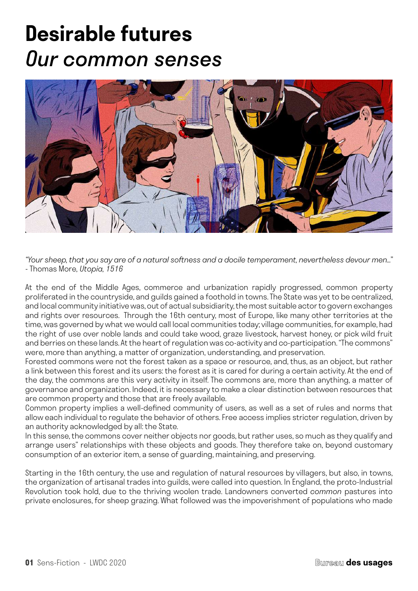# **Desirable futures** *Our common senses*



*"Your sheep, that you say are of a natural softness and a docile temperament, nevertheless devour men…"*  - Thomas More, *Utopia, 1516*

At the end of the Middle Ages, commerce and urbanization rapidly progressed, common property proliferated in the countryside, and guilds gained a foothold in towns. The State was yet to be centralized, and local community initiative was, out of actual subsidiarity, the most suitable actor to govern exchanges and rights over resources. Through the 16th century, most of Europe, like many other territories at the time, was governed by what we would call local communities today; village communities, for example, had the right of use over noble lands and could take wood, graze livestock, harvest honey, or pick wild fruit and berries on these lands. At the heart of regulation was co-activity and co-participation. "The commons" were, more than anything, a matter of organization, understanding, and preservation.

Forested commons were not the forest taken as a space or resource, and, thus, as an object, but rather a link between this forest and its users: the forest as it is cared for during a certain activity. At the end of the day, the commons are this very activity in itself. The commons are, more than anything, a matter of governance and organization. Indeed, it is necessary to make a clear distinction between resources that are common property and those that are freely available.

Common property implies a well-defined community of users, as well as a set of rules and norms that allow each individual to regulate the behavior of others. Free access implies stricter regulation, driven by an authority acknowledged by all: the State.

In this sense, the commons cover neither objects nor goods, but rather uses, so much as they qualify and arrange users" relationships with these objects and goods. They therefore take on, beyond customary consumption of an exterior item, a sense of guarding, maintaining, and preserving.

Starting in the 16th century, the use and regulation of natural resources by villagers, but also, in towns, the organization of artisanal trades into guilds, were called into question. In England, the proto-Industrial Revolution took hold, due to the thriving woolen trade. Landowners converted *common* pastures into private enclosures, for sheep grazing. What followed was the impoverishment of populations who made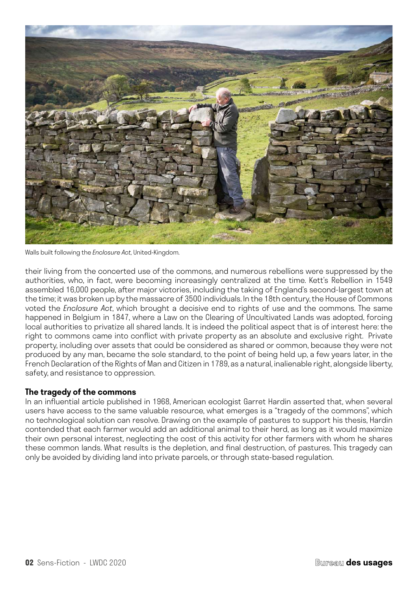

Walls built following the *Enclosure Act,* United-Kingdom.

their living from the concerted use of the commons, and numerous rebellions were suppressed by the authorities, who, in fact, were becoming increasingly centralized at the time. Kett's Rebellion in 1549 assembled 16,000 people, after major victories, including the taking of England's second-largest town at the time; it was broken up by the massacre of 3500 individuals. In the 18th century, the House of Commons voted the *Enclosure Act*, which brought a decisive end to rights of use and the commons. The same happened in Belgium in 1847, where a Law on the Clearing of Uncultivated Lands was adopted, forcing local authorities to privatize all shared lands. It is indeed the political aspect that is of interest here: the right to commons came into conflict with private property as an absolute and exclusive right. Private property, including over assets that could be considered as shared or common, because they were not produced by any man, became the sole standard, to the point of being held up, a few years later, in the French Declaration of the Rights of Man and Citizen in 1789, as a natural, inalienable right, alongside liberty, safety, and resistance to oppression.

## **The tragedy of the commons**

In an influential article published in 1968, American ecologist Garret Hardin asserted that, when several users have access to the same valuable resource, what emerges is a "tragedy of the commons", which no technological solution can resolve. Drawing on the example of pastures to support his thesis, Hardin contended that each farmer would add an additional animal to their herd, as long as it would maximize their own personal interest, neglecting the cost of this activity for other farmers with whom he shares these common lands. What results is the depletion, and final destruction, of pastures. This tragedy can only be avoided by dividing land into private parcels, or through state-based regulation.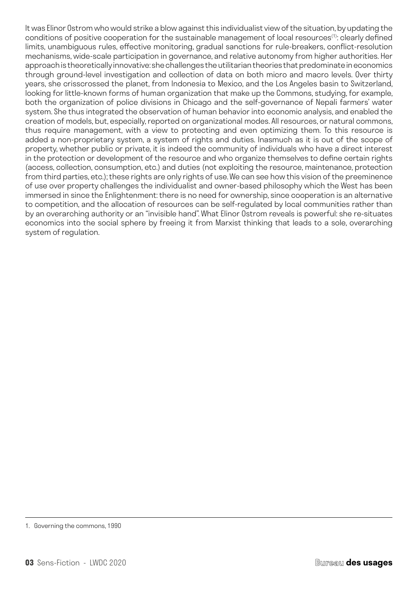It was Elinor Ostrom who would strike a blow against this individualist view of the situation, by updating the conditions of positive cooperation for the sustainable management of local resources<sup>(1)</sup>: clearly defined limits, unambiguous rules, effective monitoring, gradual sanctions for rule-breakers, conflict-resolution mechanisms, wide-scale participation in governance, and relative autonomy from higher authorities. Her approach is theoretically innovative: she challenges the utilitarian theories that predominate in economics through ground-level investigation and collection of data on both micro and macro levels. Over thirty years, she crisscrossed the planet, from Indonesia to Mexico, and the Los Angeles basin to Switzerland, looking for little-known forms of human organization that make up the Commons, studying, for example, both the organization of police divisions in Chicago and the self-governance of Nepali farmers' water system. She thus integrated the observation of human behavior into economic analysis, and enabled the creation of models, but, especially, reported on organizational modes. All resources, or natural commons, thus require management, with a view to protecting and even optimizing them. To this resource is added a non-proprietary system, a system of rights and duties. Inasmuch as it is out of the scope of property, whether public or private, it is indeed the community of individuals who have a direct interest in the protection or development of the resource and who organize themselves to define certain rights (access, collection, consumption, etc.) and duties (not exploiting the resource, maintenance, protection from third parties, etc.); these rights are only rights of use. We can see how this vision of the preeminence of use over property challenges the individualist and owner-based philosophy which the West has been immersed in since the Enlightenment: there is no need for ownership, since cooperation is an alternative to competition, and the allocation of resources can be self-regulated by local communities rather than by an overarching authority or an "invisible hand". What Elinor Ostrom reveals is powerful: she re-situates economics into the social sphere by freeing it from Marxist thinking that leads to a sole, overarching system of regulation.

<sup>1.</sup> Governing the commons, 1990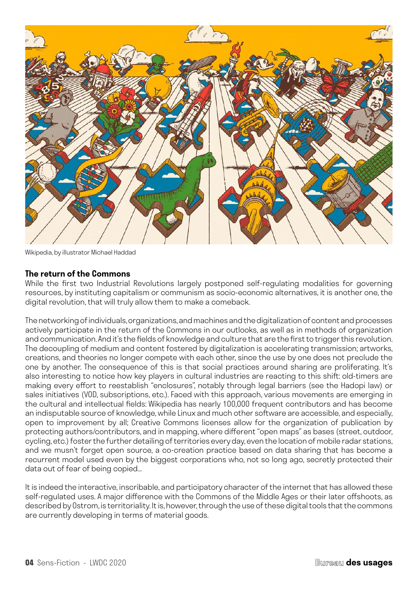

Wikipedia, by illustrator Michael Haddad

#### **The return of the Commons**

While the first two Industrial Revolutions largely postponed self-regulating modalities for governing resources, by instituting capitalism or communism as socio-economic alternatives, it is another one, the digital revolution, that will truly allow them to make a comeback.

The networking of individuals, organizations, and machines and the digitalization of content and processes actively participate in the return of the Commons in our outlooks, as well as in methods of organization and communication. And it's the fields of knowledge and culture that are the first to trigger this revolution. The decoupling of medium and content fostered by digitalization is accelerating transmission; artworks, creations, and theories no longer compete with each other, since the use by one does not preclude the one by another. The consequence of this is that social practices around sharing are proliferating. It's also interesting to notice how key players in cultural industries are reacting to this shift: old-timers are making every effort to reestablish "enclosures", notably through legal barriers (see the Hadopi law) or sales initiatives (VOD, subscriptions, etc.). Faced with this approach, various movements are emerging in the cultural and intellectual fields: Wikipedia has nearly 100,000 frequent contributors and has become an indisputable source of knowledge, while Linux and much other software are accessible, and especially, open to improvement by all; Creative Commons licenses allow for the organization of publication by protecting authors/contributors, and in mapping, where different "open maps" as bases (street, outdoor, cycling, etc.) foster the further detailing of territories every day, even the location of mobile radar stations, and we musn't forget open source, a co-creation practice based on data sharing that has become a recurrent model used even by the biggest corporations who, not so long ago, secretly protected their data out of fear of being copied...

It is indeed the interactive, inscribable, and participatory character of the internet that has allowed these self-regulated uses. A major difference with the Commons of the Middle Ages or their later offshoots, as described by Ostrom, is territoriality. It is, however, through the use of these digital tools that the commons are currently developing in terms of material goods.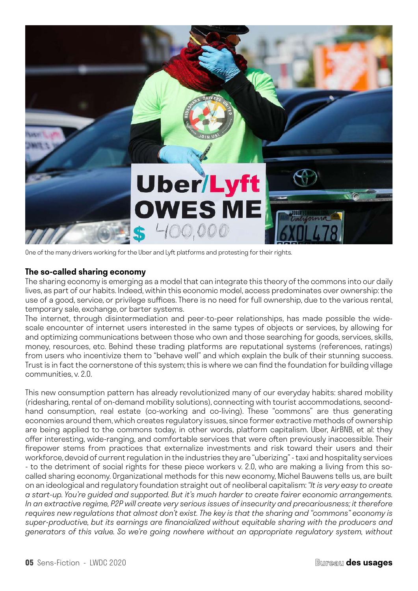

One of the many drivers working for the Uber and Lyft platforms and protesting for their rights.

#### **The so-called sharing economy**

The sharing economy is emerging as a model that can integrate this theory of the commons into our daily lives, as part of our habits. Indeed, within this economic model, access predominates over ownership: the use of a good, service, or privilege suffices. There is no need for full ownership, due to the various rental, temporary sale, exchange, or barter systems.

The internet, through disintermediation and peer-to-peer relationships, has made possible the widescale encounter of internet users interested in the same types of objects or services, by allowing for and optimizing communications between those who own and those searching for goods, services, skills, money, resources, etc. Behind these trading platforms are reputational systems (references, ratings) from users who incentivize them to "behave well" and which explain the bulk of their stunning success. Trust is in fact the cornerstone of this system; this is where we can find the foundation for building village communities, v. 2.0.

This new consumption pattern has already revolutionized many of our everyday habits: shared mobility (ridesharing, rental of on-demand mobility solutions), connecting with tourist accommodations, secondhand consumption, real estate (co-working and co-living). These "commons" are thus generating economies around them, which creates regulatory issues, since former extractive methods of ownership are being applied to the commons today, in other words, platform capitalism. Uber, AirBNB, et al: they offer interesting, wide-ranging, and comfortable services that were often previously inaccessible. Their firepower stems from practices that externalize investments and risk toward their users and their workforce, devoid of current regulation in the industries they are "uberizing" - taxi and hospitality services - to the detriment of social rights for these piece workers v. 2.0, who are making a living from this socalled sharing economy. Organizational methods for this new economy, Michel Bauwens tells us, are built on an ideological and regulatory foundation straight out of neoliberal capitalism: *"It is very easy to create a start-up. You're guided and supported. But it's much harder to create fairer economic arrangements. In an extractive regime, P2P will create very serious issues of insecurity and precariousness; it therefore requires new regulations that almost don't exist. The key is that the sharing and "commons" economy is super-productive, but its earnings are financialized without equitable sharing with the producers and generators of this value. So we're going nowhere without an appropriate regulatory system, without*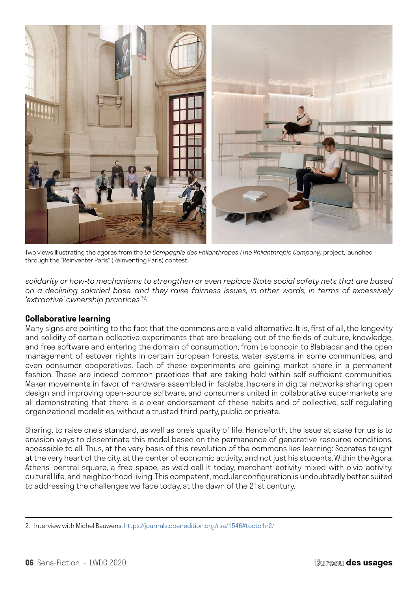

Two views illustrating the agoras from the *La Compagnie des Philanthropes (The Philanthropic Company)* project, launched through the "Réinventer Paris" (Reinventing Paris) contest.

*solidarity or how-to mechanisms to strengthen or even replace State social safety nets that are based on a declining salaried base, and they raise fairness issues, in other words, in terms of excessively 'extractive' ownership practices"(2).*

# **Collaborative learning**

Many signs are pointing to the fact that the commons are a valid alternative. It is, first of all, the longevity and solidity of certain collective experiments that are breaking out of the fields of culture, knowledge, and free software and entering the domain of consumption, from Le boncoin to Blablacar and the open management of estover rights in certain European forests, water systems in some communities, and even consumer cooperatives. Each of these experiments are gaining market share in a permanent fashion. These are indeed common practices that are taking hold within self-sufficient communities. Maker movements in favor of hardware assembled in fablabs, hackers in digital networks sharing open design and improving open-source software, and consumers united in collaborative supermarkets are all demonstrating that there is a clear endorsement of these habits and of collective, self-regulating organizational modalities, without a trusted third party, public or private.

Sharing, to raise one's standard, as well as one's quality of life. Henceforth, the issue at stake for us is to envision ways to disseminate this model based on the permanence of generative resource conditions, accessible to all. Thus, at the very basis of this revolution of the commons lies learning: Socrates taught at the very heart of the city, at the center of economic activity, and not just his students. Within the Agora, Athens' central square, a free space, as we'd call it today, merchant activity mixed with civic activity, cultural life, and neighborhood living. This competent, modular configuration is undoubtedly better suited to addressing the challenges we face today, at the dawn of the 21st century.

<sup>2.</sup> Interview with Michel Bauwens, [https://journals.openedition.org/rsa/1546#tocto1n2/](https://journals.openedition.org/rsa/1546#tocto1n2/ )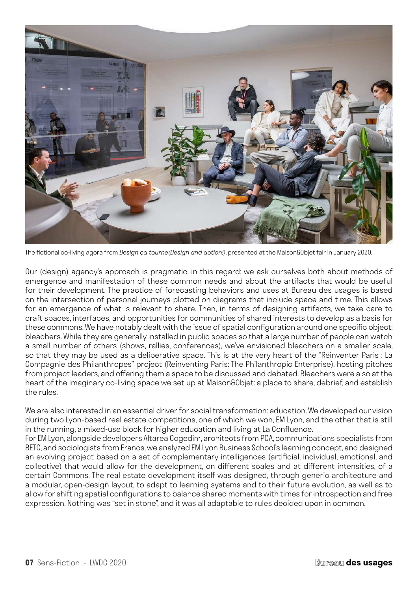

The fictional co-living agora from *Design ça tourne(Design and action!)*, presented at the Maison&Objet fair in January 2020.

Our (design) agency's approach is pragmatic, in this regard: we ask ourselves both about methods of emergence and manifestation of these common needs and about the artifacts that would be useful for their development. The practice of forecasting behaviors and uses at Bureau des usages is based on the intersection of personal journeys plotted on diagrams that include space and time. This allows for an emergence of what is relevant to share. Then, in terms of designing artifacts, we take care to craft spaces, interfaces, and opportunities for communities of shared interests to develop as a basis for these commons. We have notably dealt with the issue of spatial configuration around one specific object: bleachers. While they are generally installed in public spaces so that a large number of people can watch a small number of others (shows, rallies, conferences), we've envisioned bleachers on a smaller scale, so that they may be used as a deliberative space. This is at the very heart of the "Réinventer Paris : La Compagnie des Philanthropes" project (Reinventing Paris: The Philanthropic Enterprise), hosting pitches from project leaders, and offering them a space to be discussed and debated. Bleachers were also at the heart of the imaginary co-living space we set up at Maison&Objet: a place to share, debrief, and establish the rules.

We are also interested in an essential driver for social transformation: education. We developed our vision during two Lyon-based real estate competitions, one of which we won, EM Lyon, and the other that is still in the running, a mixed-use block for higher education and living at La Confluence.

For EM Lyon, alongside developers Altarea Cogedim, architects from PCA, communications specialists from BETC, and sociologists from Eranos, we analyzed EM Lyon Business School's learning concept, and designed an evolving project based on a set of complementary intelligences (artificial, individual, emotional, and collective) that would allow for the development, on different scales and at different intensities, of a certain Commons. The real estate development itself was designed, through generic architecture and a modular, open-design layout, to adapt to learning systems and to their future evolution, as well as to allow for shifting spatial configurations to balance shared moments with times for introspection and free expression. Nothing was "set in stone", and it was all adaptable to rules decided upon in common.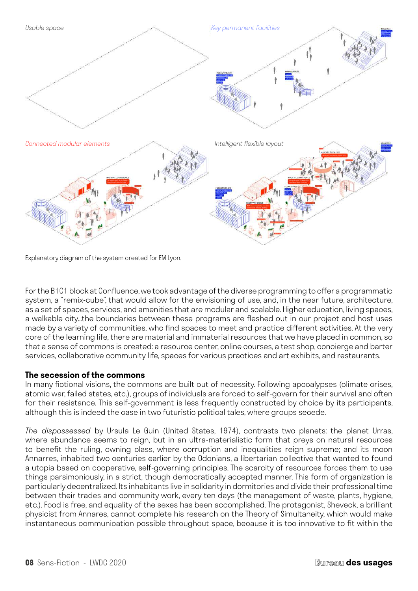

Explanatory diagram of the system created for EM Lyon.

For the B1C1 block at Confluence, we took advantage of the diverse programming to offer a programmatic system, a "remix-cube", that would allow for the envisioning of use, and, in the near future, architecture, as a set of spaces, services, and amenities that are modular and scalable. Higher education, living spaces, a walkable city...the boundaries between these programs are fleshed out in our project and host uses made by a variety of communities, who find spaces to meet and practice different activities. At the very core of the learning life, there are material and immaterial resources that we have placed in common, so that a sense of commons is created: a resource center, online courses, a test shop, concierge and barter services, collaborative community life, spaces for various practices and art exhibits, and restaurants.

#### **The secession of the commons**

In many fictional visions, the commons are built out of necessity. Following apocalypses (climate crises, atomic war, failed states, etc.), groups of individuals are forced to self-govern for their survival and often for their resistance. This self-government is less frequently constructed by choice by its participants, although this is indeed the case in two futuristic political tales, where groups secede.

*The dispossessed* by Ursula Le Guin (United States, 1974), contrasts two planets: the planet Urras, where abundance seems to reign, but in an ultra-materialistic form that preys on natural resources to benefit the ruling, owning class, where corruption and inequalities reign supreme; and its moon Annarres, inhabited two centuries earlier by the Odonians, a libertarian collective that wanted to found a utopia based on cooperative, self-governing principles. The scarcity of resources forces them to use things parsimoniously, in a strict, though democratically accepted manner. This form of organization is particularly decentralized. Its inhabitants live in solidarity in dormitories and divide their professional time between their trades and community work, every ten days (the management of waste, plants, hygiene, etc.). Food is free, and equality of the sexes has been accomplished. The protagonist, Sheveck, a brilliant physicist from Annares, cannot complete his research on the Theory of Simultaneity, which would make instantaneous communication possible throughout space, because it is too innovative to fit within the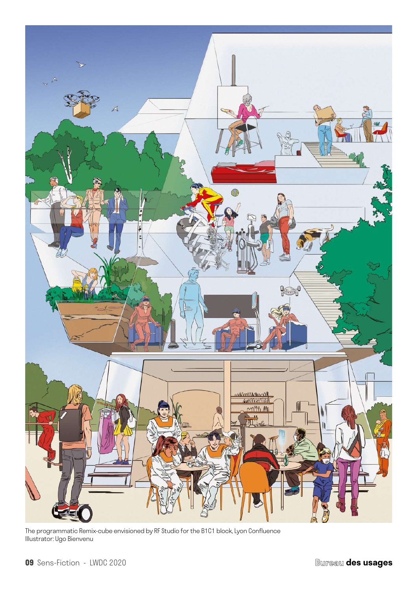

The programmatic Remix-cube envisioned by RF Studio for the B1C1 block, Lyon Confluence Illustrator: Ugo Bienvenu